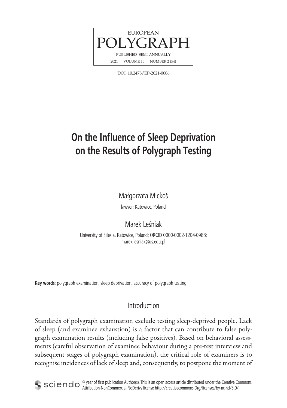

DOI: 10.2478/EP-2021-0006

# **On the Influence of Sleep Deprivation on the Results of Polygraph Testing**

Małgorzata Mickoś

lawyer; Katowice, Poland

Marek Leśniak

University of Silesia, Katowice, Poland; ORCID 0000-0002-1204-0988; marek.lesniak@us.edu.pl

**Key words**: polygraph examination, sleep deprivation, accuracy of polygraph testing

### Introduction

Standards of polygraph examination exclude testing sleep-deprived people. Lack of sleep (and examinee exhaustion) is a factor that can contribute to false polygraph examination results (including false positives). Based on behavioral assessments (careful observation of examinee behaviour during a pre-test interview and subsequent stages of polygraph examination), the critical role of examiners is to recognise incidences of lack of sleep and, consequently, to postpone the moment of



 $\circ$  year of first publication Author(s). This is an open access article distributed under the Creative Commons Attribution-NonCommercial-NoDerivs license http://creativecommons.Org/licenses/by-nc-nd/3.0/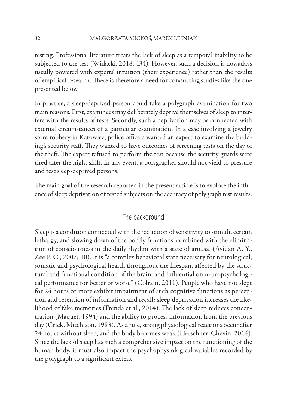testing. Professional literature treats the lack of sleep as a temporal inability to be subjected to the test (Widacki, 2018, 434). However, such a decision is nowadays usually powered with experts' intuition (their experience) rather than the results of empirical research. There is therefore a need for conducting studies like the one presented below.

In practice, a sleep-deprived person could take a polygraph examination for two main reasons. First, examinees may deliberately deprive themselves of sleep to interfere with the results of tests. Secondly, such a deprivation may be connected with external circumstances of a particular examination. In a case involving a jewelry store robbery in Katowice, police officers wanted an expert to examine the building's security staff. They wanted to have outcomes of screening tests on the day of the theft. The expert refused to perform the test because the security guards were tired after the night shift. In any event, a polygrapher should not yield to pressure and test sleep-deprived persons.

The main goal of the research reported in the present article is to explore the influence of sleep deprivation of tested subjects on the accuracy of polygraph test results.

#### The background

Sleep is a condition connected with the reduction of sensitivity to stimuli, certain lethargy, and slowing down of the bodily functions, combined with the elimination of consciousness in the daily rhythm with a state of arousal (Avidan A. Y., Zee P. C., 2007; 10). It is "a complex behavioral state necessary for neurological, somatic and psychological health throughout the lifespan, affected by the structural and functional condition of the brain, and influential on neuropsychological performance for better or worse" (Colrain, 2011). People who have not slept for 24 hours or more exhibit impairment of such cognitive functions as perception and retention of information and recall; sleep deprivation increases the likelihood of fake memories (Frenda et al., 2014). The lack of sleep reduces concentration (Maquet, 1994) and the ability to process information from the previous day (Crick, Mitchison, 1983). As a rule, strong physiological reactions occur after 24 hours without sleep, and the body becomes weak (Herschner, Chevin, 2014). Since the lack of sleep has such a comprehensive impact on the functioning of the human body, it must also impact the psychophysiological variables recorded by the polygraph to a significant extent.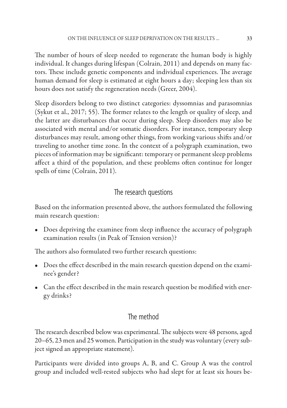The number of hours of sleep needed to regenerate the human body is highly individual. It changes during lifespan (Colrain, 2011) and depends on many factors. These include genetic components and individual experiences. The average human demand for sleep is estimated at eight hours a day; sleeping less than six hours does not satisfy the regeneration needs (Greer, 2004).

Sleep disorders belong to two distinct categories: dyssomnias and parasomnias (Sykut et al., 2017; 55). The former relates to the length or quality of sleep, and the latter are disturbances that occur during sleep. Sleep disorders may also be associated with mental and/or somatic disorders. For instance, temporary sleep disturbances may result, among other things, from working various shifts and/or traveling to another time zone. In the context of a polygraph examination, two pieces of information may be significant: temporary or permanent sleep problems affect a third of the population, and these problems often continue for longer spells of time (Colrain, 2011).

### The research questions

Based on the information presented above, the authors formulated the following main research question:

• Does depriving the examinee from sleep influence the accuracy of polygraph examination results (in Peak of Tension version)?

The authors also formulated two further research questions:

- Does the effect described in the main research question depend on the examinee's gender?
- Can the effect described in the main research question be modified with energy drinks?

### The method

The research described below was experimental. The subjects were 48 persons, aged 20–65, 23 men and 25 women. Participation in the study was voluntary (every subject signed an appropriate statement).

Participants were divided into groups A, B, and C. Group A was the control group and included well-rested subjects who had slept for at least six hours be-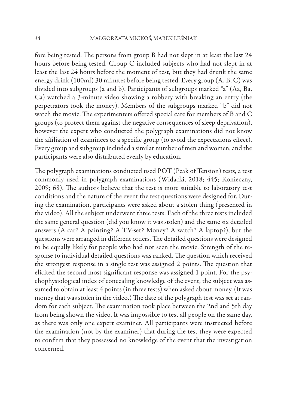fore being tested. The persons from group B had not slept in at least the last 24 hours before being tested. Group C included subjects who had not slept in at least the last 24 hours before the moment of test, but they had drunk the same energy drink (100ml) 30 minutes before being tested. Every group (A, B, C) was divided into subgroups (a and b). Participants of subgroups marked "a" (Aa, Ba, Ca) watched a 3-minute video showing a robbery with breaking an entry (the perpetrators took the money). Members of the subgroups marked "b" did not watch the movie. The experimenters offered special care for members of B and C groups (to protect them against the negative consequences of sleep deprivation), however the expert who conducted the polygraph examinations did not know the affiliation of examinees to a specific group (to avoid the expectations effect). Every group and subgroup included a similar number of men and women, and the participants were also distributed evenly by education.

The polygraph examinations conducted used POT (Peak of Tension) tests, a test commonly used in polygraph examinations (Widacki, 2018; 445; Konieczny, 2009; 68). The authors believe that the test is more suitable to laboratory test conditions and the nature of the event the test questions were designed for. During the examination, participants were asked about a stolen thing (presented in the video). All the subject underwent three tests. Each of the three tests included the same general question (did you know it was stolen) and the same six detailed answers (A car? A painting? A TV-set? Money? A watch? A laptop?), but the questions were arranged in different orders. The detailed questions were designed to be equally likely for people who had not seen the movie. Strength of the response to individual detailed questions was ranked. The question which received the strongest response in a single test was assigned 2 points. The question that elicited the second most significant response was assigned 1 point. For the psychophysiological index of concealing knowledge of the event, the subject was assumed to obtain at least 4 points (in three tests) when asked about money. (It was money that was stolen in the video.) The date of the polygraph test was set at random for each subject. The examination took place between the 2nd and 5th day from being shown the video. It was impossible to test all people on the same day, as there was only one expert examiner. All participants were instructed before the examination (not by the examiner) that during the test they were expected to confirm that they possessed no knowledge of the event that the investigation concerned.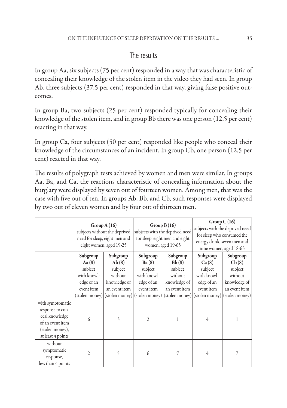## The results

In group Aa, six subjects (75 per cent) responded in a way that was characteristic of concealing their knowledge of the stolen item in the video they had seen. In group Ab, three subjects (37.5 per cent) responded in that way, giving false positive outcomes.

In group Ba, two subjects (25 per cent) responded typically for concealing their knowledge of the stolen item, and in group Bb there was one person (12.5 per cent) reacting in that way.

In group Ca, four subjects (50 per cent) responded like people who conceal their knowledge of the circumstances of an incident. In group Cb, one person (12.5 per cent) reacted in that way.

The results of polygraph tests achieved by women and men were similar. In groups Aa, Ba, and Ca, the reactions characteristic of concealing information about the burglary were displayed by seven out of fourteen women. Among men, that was the case with five out of ten. In groups Ab, Bb, and Cb, such responses were displayed by two out of eleven women and by four out of thirteen men.

|                                                                                                                    | Group $A(16)$<br>subjects without the deprived<br>need for sleep, eight men and<br>eight women, aged 19-25 |                                                                          | Group $B(16)$<br>subjects with the deprived need<br>for sleep, eight men and eight<br>women, aged 19-65 |                                                                          | Group $C(16)$<br>subjects with the deprived need<br>for sleep who consumed the<br>energy drink, seven men and<br>nine women, aged 18-63                              |                                                                          |
|--------------------------------------------------------------------------------------------------------------------|------------------------------------------------------------------------------------------------------------|--------------------------------------------------------------------------|---------------------------------------------------------------------------------------------------------|--------------------------------------------------------------------------|----------------------------------------------------------------------------------------------------------------------------------------------------------------------|--------------------------------------------------------------------------|
|                                                                                                                    | Subgroup<br>Aa $(8)$<br>subject<br>with knowl-<br>edge of an<br>event item                                 | Subgroup<br>Ab(8)<br>subject<br>without<br>knowledge of<br>an event item | Subgroup<br>Ba(8)<br>subject<br>with knowl-<br>edge of an<br>event item                                 | Subgroup<br>Bb(8)<br>subject<br>without<br>knowledge of<br>an event item | Subgroup<br>Ca(8)<br>subject<br>with knowl-<br>edge of an<br>event item<br>(stolen money) (stolen money) (stolen money) (stolen money) (stolen money) (stolen money) | Subgroup<br>Cb(8)<br>subject<br>without<br>knowledge of<br>an event item |
| with symptomatic<br>response to con-<br>ceal knowledge<br>of an event item<br>(stolen money),<br>at least 4 points | 6                                                                                                          | 3                                                                        | $\overline{2}$                                                                                          |                                                                          | 4                                                                                                                                                                    |                                                                          |
| without<br>symptomatic<br>response,<br>less than 4 points                                                          | $\overline{c}$                                                                                             | 5                                                                        | 6                                                                                                       |                                                                          | 4                                                                                                                                                                    | 7                                                                        |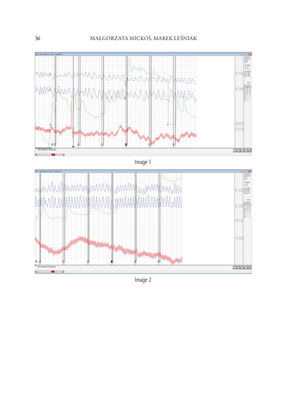

Image 2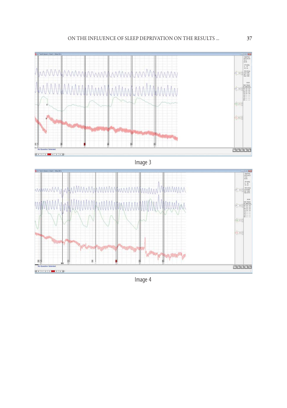#### ON THE INFLUENCE OF SLEEP DEPRIVATION ON THE RESULTS ...  $37$



Image 3



Image 4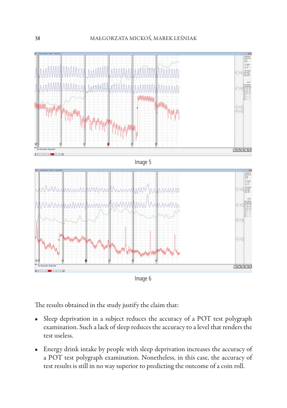



The results obtained in the study justify the claim that:

- Sleep deprivation in a subject reduces the accuracy of a POT test polygraph examination. Such a lack of sleep reduces the accuracy to a level that renders the test useless.
- Energy drink intake by people with sleep deprivation increases the accuracy of a POT test polygraph examination. Nonetheless, in this case, the accuracy of test results is still in no way superior to predicting the outcome of a coin roll.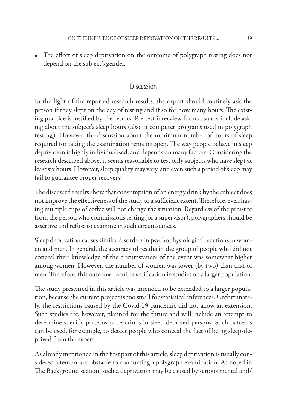• The effect of sleep deprivation on the outcome of polygraph testing does not depend on the subject's gender.

#### Discussion

In the light of the reported research results, the expert should routinely ask the person if they slept on the day of testing and if so for how many hours. The existing practice is justified by the results. Pre-test interview forms usually include asking about the subject's sleep hours (also in computer programs used in polygraph testing). However, the discussion about the minimum number of hours of sleep required for taking the examination remains open. The way people behave in sleep deprivation is highly individualised, and depends on many factors. Considering the research described above, it seems reasonable to test only subjects who have slept at least six hours. However, sleep quality may vary, and even such a period of sleep may fail to guarantee proper recovery.

The discussed results show that consumption of an energy drink by the subject does not improve the effectiveness of the study to a sufficient extent. Therefore, even having multiple cups of coffee will not change the situation. Regardless of the pressure from the person who commissions testing (or a supervisor), polygraphers should be assertive and refuse to examine in such circumstances.

Sleep deprivation causes similar disorders in psychophysiological reactions in women and men. In general, the accuracy of results in the group of people who did not conceal their knowledge of the circumstances of the event was somewhat higher among women. However, the number of women was lower (by two) than that of men. Therefore, this outcome requires verification in studies on a larger population.

The study presented in this article was intended to be extended to a larger population, because the current project is too small for statistical inferences. Unfortunately, the restrictions caused by the Covid-19 pandemic did not allow an extension. Such studies are, however, planned for the future and will include an attempt to determine specific patterns of reactions in sleep-deprived persons. Such patterns can be used, for example, to detect people who conceal the fact of being sleep-deprived from the expert.

As already mentioned in the first part of this article, sleep deprivation is usually considered a temporary obstacle to conducting a polygraph examination. As noted in The Background section, such a deprivation may be caused by serious mental and/